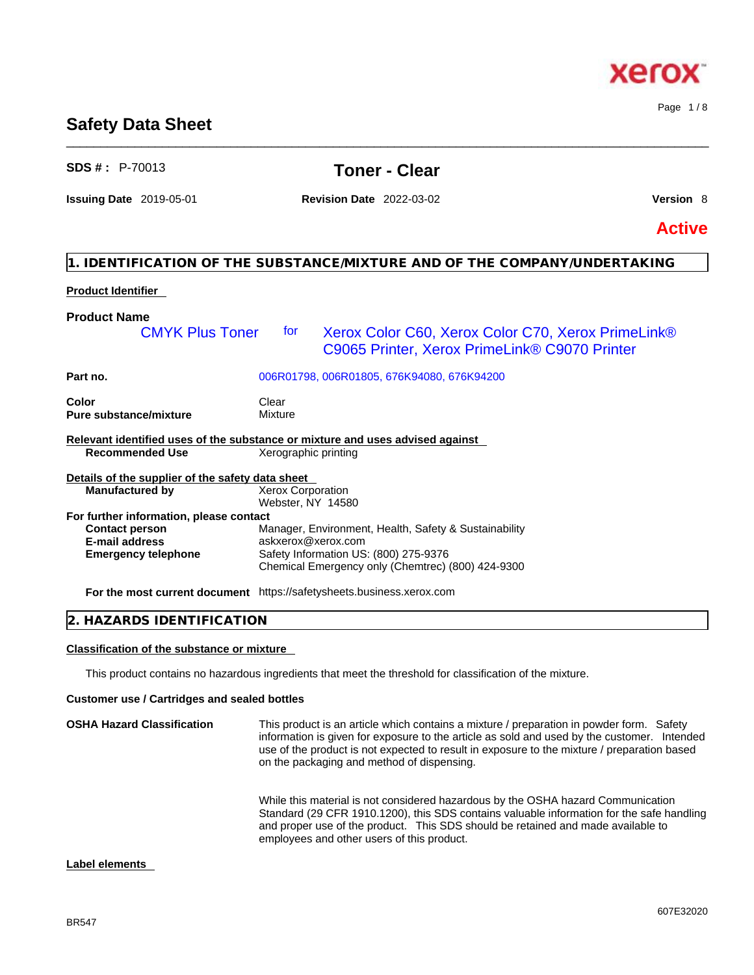While this material is not considered hazardous by the OSHA hazard Communication Standard (29 CFR 1910.1200), this SDS contains valuable information for the safe handling and proper use of the product. This SDS should be retained and made available to employees and other users of this product.

C9065 Printer, Xerox PrimeLink® C9070 Printer

#### **Label elements**

**Customer use / Cartridges and sealed bottles OSHA Hazard Classification** This product is an article which contains a mixture / preparation in powder form. Safety information is given for exposure to the article as sold and used by the customer. Intended use of the product is not expected to result in exposure to the mixture / preparation based on the packaging and method of dispensing.

This product contains no hazardous ingredients that meet the threshold for classification of the mixture.

# **2. HAZARDS IDENTIFICATION**

**Color** Clear Clear

**Pure substance/mixture** Mixture

## **Classification of the substance or mixture**

|                                                  | Relevant identified uses of the substance or mixture and uses advised against |
|--------------------------------------------------|-------------------------------------------------------------------------------|
| <b>Recommended Use</b>                           | Xerographic printing                                                          |
| Details of the supplier of the safety data sheet |                                                                               |
| <b>Manufactured by</b>                           | <b>Xerox Corporation</b>                                                      |
|                                                  | Webster, NY 14580                                                             |
| For further information, please contact          |                                                                               |
| <b>Contact person</b>                            | Manager, Environment, Health, Safety & Sustainability                         |
| <b>E-mail address</b>                            | askxerox@xerox.com                                                            |
| <b>Emergency telephone</b>                       | Safety Information US: (800) 275-9376                                         |
|                                                  | Chemical Emergency only (Chemtrec) (800) 424-9300                             |
|                                                  | <b>For the most current document</b> https://safetysheets.business.xerox.com  |

## **Product Name**  CMYK Plus Toner for Xerox Color C60, Xerox Color C70, Xerox PrimeLink®

**Product Identifier** 

**Part no.** 006R01798, 006R01805, 676K94080, 676K94200

# **Safety Data Sheet**

\_\_\_\_\_\_\_\_\_\_\_\_\_\_\_\_\_\_\_\_\_\_\_\_\_\_\_\_\_\_\_\_\_\_\_\_\_\_\_\_\_\_\_\_\_\_\_\_\_\_\_\_\_\_\_\_\_\_\_\_\_\_\_\_\_\_\_\_\_\_\_\_\_\_\_\_\_\_\_\_\_\_\_\_\_\_\_\_\_\_\_\_\_\_

# **SDS # :** P-70013 **Toner - Clear**

**Issuing Date** 2019-05-01 **Revision Date** 2022-03-02 **Version** 8

**1. IDENTIFICATION OF THE SUBSTANCE/MIXTURE AND OF THE COMPANY/UNDERTAKING** 

Page 1 / 8

**Active**

# xero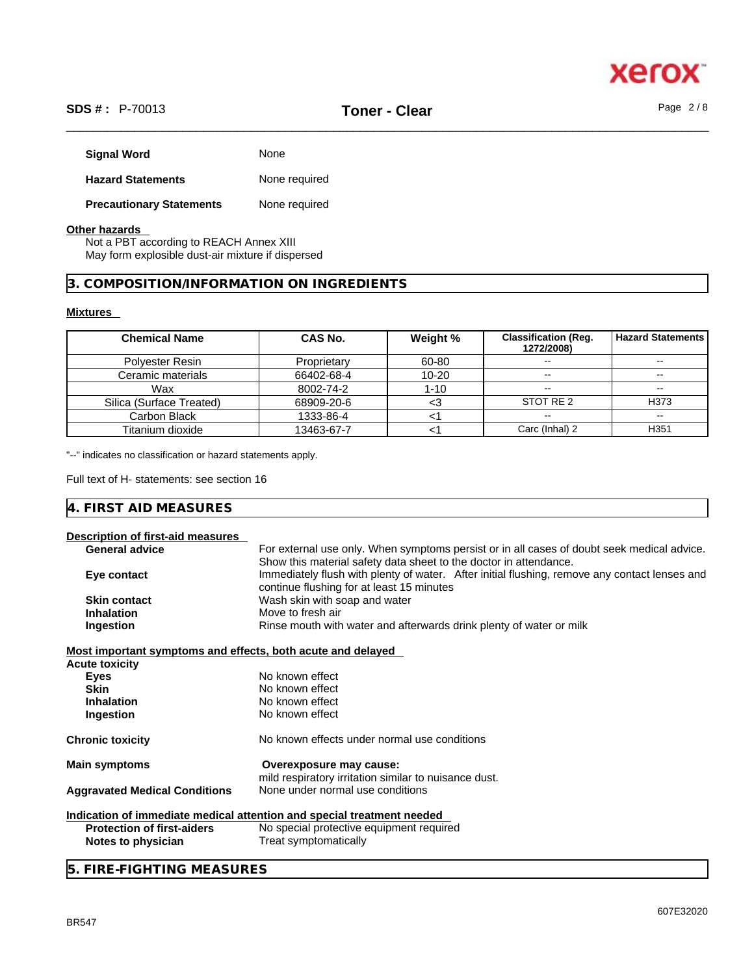

# \_\_\_\_\_\_\_\_\_\_\_\_\_\_\_\_\_\_\_\_\_\_\_\_\_\_\_\_\_\_\_\_\_\_\_\_\_\_\_\_\_\_\_\_\_\_\_\_\_\_\_\_\_\_\_\_\_\_\_\_\_\_\_\_\_\_\_\_\_\_\_\_\_\_\_\_\_\_\_\_\_\_\_\_\_\_\_\_\_\_\_\_\_\_ **SDS # :** P-70013 **Toner - Clear** Page 2 / 8

| <b>Signal Word</b>              | None          |
|---------------------------------|---------------|
| <b>Hazard Statements</b>        | None required |
| <b>Precautionary Statements</b> | None required |

#### **Other hazards**

Not a PBT according to REACH Annex XIII May form explosible dust-air mixture if dispersed

## **3. COMPOSITION/INFORMATION ON INGREDIENTS**

#### **Mixtures**

| <b>Chemical Name</b>     | CAS No.     | Weight %  | <b>Classification (Req.</b><br>1272/2008) | l Hazard Statements |
|--------------------------|-------------|-----------|-------------------------------------------|---------------------|
| Polyester Resin          | Proprietary | 60-80     |                                           | $\sim$              |
| Ceramic materials        | 66402-68-4  | $10 - 20$ | $\sim$                                    | $\sim$              |
| Wax                      | 8002-74-2   | 1-10      | $- -$                                     | $\sim$              |
| Silica (Surface Treated) | 68909-20-6  |           | STOT RE 2                                 | H373                |
| Carbon Black             | 1333-86-4   |           | $- -$                                     | $\sim$ $\sim$       |
| Titanium dioxide         | 13463-67-7  |           | Carc (Inhal) 2                            | H <sub>351</sub>    |

"--" indicates no classification or hazard statements apply.

Full text of H- statements: see section 16

# **4. FIRST AID MEASURES**

| Description of first-aid measures                           |                                                                                                                                                                 |
|-------------------------------------------------------------|-----------------------------------------------------------------------------------------------------------------------------------------------------------------|
| <b>General advice</b>                                       | For external use only. When symptoms persist or in all cases of doubt seek medical advice.<br>Show this material safety data sheet to the doctor in attendance. |
| Eye contact                                                 | Immediately flush with plenty of water. After initial flushing, remove any contact lenses and<br>continue flushing for at least 15 minutes                      |
| <b>Skin contact</b>                                         | Wash skin with soap and water                                                                                                                                   |
| <b>Inhalation</b>                                           | Move to fresh air                                                                                                                                               |
| Ingestion                                                   | Rinse mouth with water and afterwards drink plenty of water or milk                                                                                             |
| Most important symptoms and effects, both acute and delayed |                                                                                                                                                                 |
| <b>Acute toxicity</b>                                       |                                                                                                                                                                 |
| <b>Eyes</b>                                                 | No known effect                                                                                                                                                 |
| <b>Skin</b>                                                 | No known effect                                                                                                                                                 |
| <b>Inhalation</b>                                           | No known effect                                                                                                                                                 |
| Ingestion                                                   | No known effect                                                                                                                                                 |
| <b>Chronic toxicity</b>                                     | No known effects under normal use conditions                                                                                                                    |
| <b>Main symptoms</b>                                        | Overexposure may cause:<br>mild respiratory irritation similar to nuisance dust.                                                                                |
| <b>Aggravated Medical Conditions</b>                        | None under normal use conditions                                                                                                                                |
|                                                             | Indication of immediate medical attention and special treatment needed                                                                                          |
| <b>Protection of first-aiders</b>                           | No special protective equipment required                                                                                                                        |
| Notes to physician                                          | Treat symptomatically                                                                                                                                           |
|                                                             |                                                                                                                                                                 |

# **5. FIRE-FIGHTING MEASURES**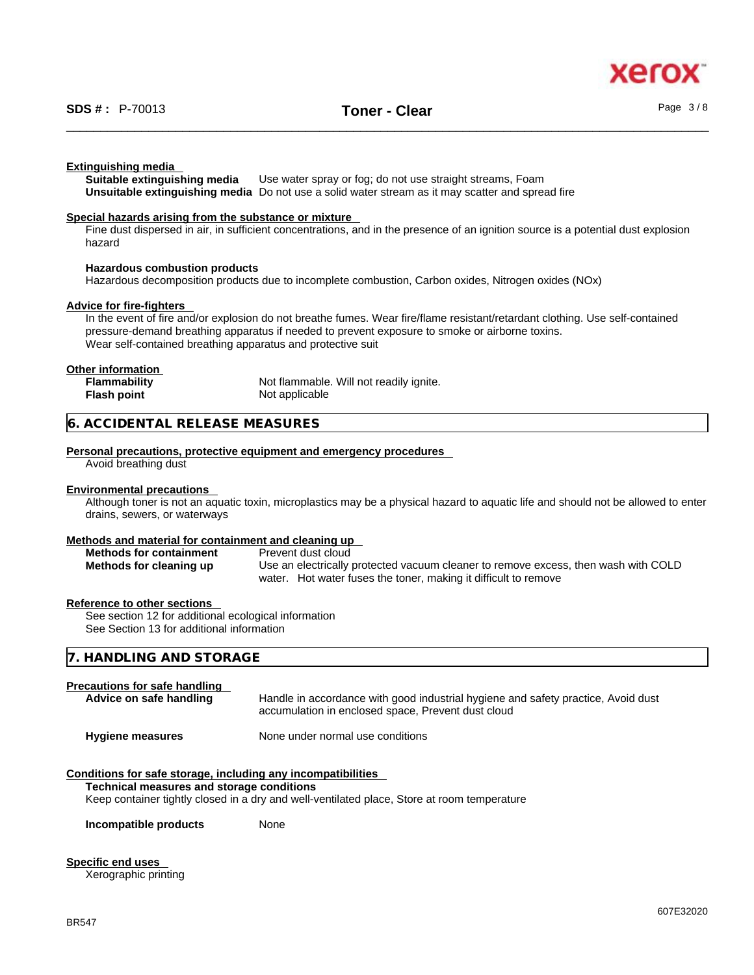

#### **Extinguishing media**

**Suitable extinguishing media** Use water spray or fog; do not use straight streams, Foam **Unsuitable extinguishing media** Do not use a solid water stream as it may scatterand spread fire

#### **Special hazards arising from the substance or mixture**

Fine dust dispersed in air, in sufficient concentrations, and in the presence of an ignition source is a potential dust explosion hazard

#### **Hazardous combustion products**

Hazardous decomposition products due to incomplete combustion, Carbon oxides, Nitrogen oxides (NOx)

#### **Advice for fire-fighters**

In the event of fire and/or explosion do not breathe fumes. Wear fire/flame resistant/retardant clothing. Use self-contained pressure-demand breathing apparatus if needed to prevent exposure to smoke or airborne toxins. Wear self-contained breathing apparatus and protective suit

#### **Other information**

| <b>Flammability</b> | Not flammable. Will not readily ignite. |
|---------------------|-----------------------------------------|
| Flash point         | Not applicable                          |

#### **6. ACCIDENTAL RELEASE MEASURES**

#### **Personal precautions, protective equipment and emergency procedures**

Avoid breathing dust

#### **Environmental precautions**

Although toner is not an aquatic toxin, microplastics may be a physical hazard to aquatic life and should not be allowed to enter drains, sewers, or waterways

#### **Methods and material for containment and cleaning up**

| <b>Methods for containment</b> | Prevent dust cloud                                                                 |
|--------------------------------|------------------------------------------------------------------------------------|
| Methods for cleaning up        | Use an electrically protected vacuum cleaner to remove excess, then wash with COLD |
|                                | water. Hot water fuses the toner, making it difficult to remove                    |

#### **Reference to other sections**

See section 12 for additional ecological information See Section 13 for additional information

| CTODACE<br>HANDLING AND<br><b>SIURAGE</b><br>17. |  |
|--------------------------------------------------|--|
|                                                  |  |

#### **Precautions for safe handling**

| Advice on safe handling                                                                                                                                                                                                                                                                        | Handle in accordance with good industrial hygiene and safety practice, Avoid dust<br>accumulation in enclosed space, Prevent dust cloud |  |
|------------------------------------------------------------------------------------------------------------------------------------------------------------------------------------------------------------------------------------------------------------------------------------------------|-----------------------------------------------------------------------------------------------------------------------------------------|--|
| <b>Hygiene measures</b>                                                                                                                                                                                                                                                                        | None under normal use conditions                                                                                                        |  |
| Conditions for safe storage, including any incompatibilities<br>The characters of the company was constant and constant and constant of the constant of the constant of the constant of the constant of the constant of the constant of the constant of the constant of the constant of the co |                                                                                                                                         |  |

#### **Technical measures and storage conditions**

Keep container tightly closed in a dry and well-ventilated place, Store at room temperature

**Incompatible products** None

#### **Specific end uses**

Xerographic printing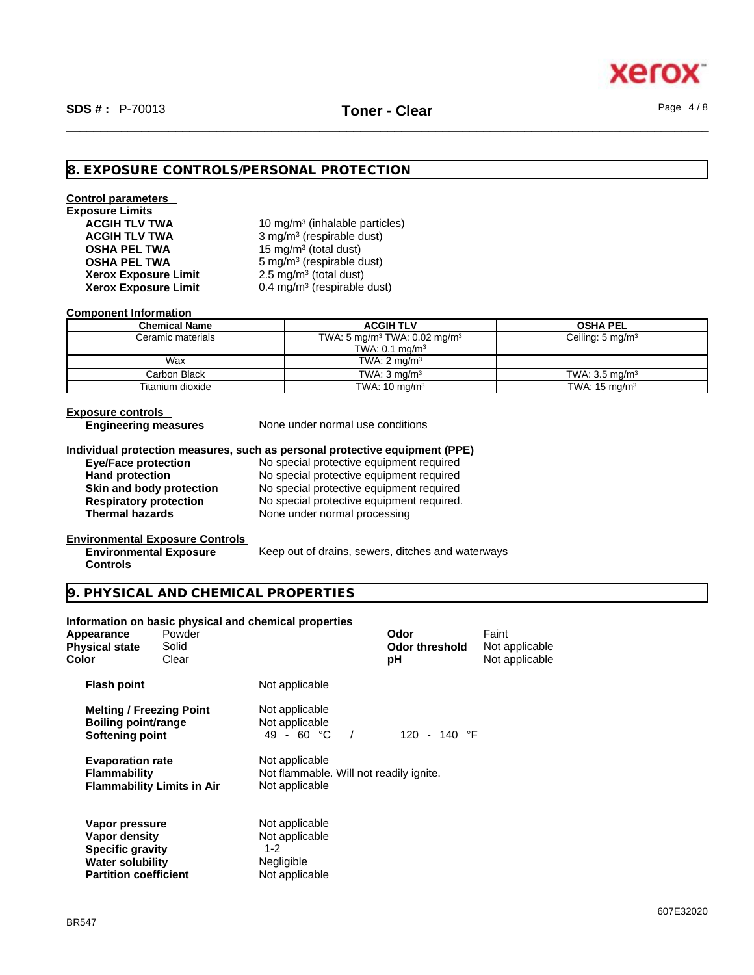### **8. EXPOSURE CONTROLS/PERSONAL PROTECTION**

# **Control parameters**

**Exposure Limits Xerox Exposure Limit<br>Xerox Exposure Limit Xerox Exposure Limit** 0.4 mg/m<sup>3</sup> (respirable dust)

**ACGIH TLV TWA** 10 mg/m<sup>3</sup> (inhalable particles) **ACGIH TLV TWA** 3 mg/m<sup>3</sup> (respirable dust) **OSHA PEL TWA** 15 mg/m<sup>3</sup> (total dust) **OSHA PEL TWA** 5 mg/m<sup>3</sup> (respirable dust) 2.5  $mg/m<sup>3</sup>$  (total dust)

#### **Component Information**

| <b>Chemical Name</b> | <b>ACGIH TLV</b>                                                                  | <b>OSHA PEL</b>             |
|----------------------|-----------------------------------------------------------------------------------|-----------------------------|
| Ceramic materials    | TWA: 5 mg/m <sup>3</sup> TWA: 0.02 mg/m <sup>3</sup><br>TWA: $0.1 \text{ mg/m}^3$ | Ceiling: $5 \text{ mg/m}^3$ |
| Wax                  | TWA: $2 \text{ mg/m}^3$                                                           |                             |
| Carbon Black         | TWA: $3 \text{ ma/m}^3$                                                           | TWA: $3.5 \text{ ma/m}^3$   |
| Titanium dioxide     | TWA: $10 \text{ mg/m}^3$                                                          | TWA: $15 \text{ mg/m}^3$    |

#### **Exposure controls**

**Engineering measures** None under normal use conditions

#### **Individual protection measures, such as personal protective equipment (PPE)**

**Eye/Face protection**<br> **Exercise 2018** No special protective equipment required<br>
No special protective equipment required

**Hand protection**<br> **Skin and body protection**<br>
No special protective equipment required **Skin and body protection** No special protective equipment required<br> **Respiratory protection** No special protective equipment required. **Respiratory protection** No special protective equipment required.<br> **Thermal hazards** None under normal processing **None under normal processing** 

#### **Environmental Exposure Controls**

**Environmental Exposure Controls** 

Keep out of drains, sewers, ditches and waterways

#### **9. PHYSICAL AND CHEMICAL PROPERTIES**

#### **Information on basic physical and chemical properties**

**Water solubility Negligible**<br> **Partition coefficient** Mot applicable

| Appearance<br><b>Physical state</b><br>Color                                     | Powder<br>Solid<br>Clear          |                                                                             | Odor<br><b>Odor threshold</b><br>рH | Faint<br>Not applicable<br>Not applicable |  |
|----------------------------------------------------------------------------------|-----------------------------------|-----------------------------------------------------------------------------|-------------------------------------|-------------------------------------------|--|
| <b>Flash point</b>                                                               |                                   | Not applicable                                                              |                                     |                                           |  |
| <b>Melting / Freezing Point</b><br><b>Boiling point/range</b><br>Softening point |                                   | Not applicable<br>Not applicable<br>49 - 60 °C<br>$\sqrt{ }$                | 120 - 140 °F                        |                                           |  |
| <b>Evaporation rate</b><br><b>Flammability</b>                                   | <b>Flammability Limits in Air</b> | Not applicable<br>Not flammable. Will not readily ignite.<br>Not applicable |                                     |                                           |  |
| Vapor pressure<br>Vapor density<br><b>Specific gravity</b><br>Water solubility   |                                   | Not applicable<br>Not applicable<br>$1 - 2$<br>Nealiaible                   |                                     |                                           |  |

**Partition coefficient**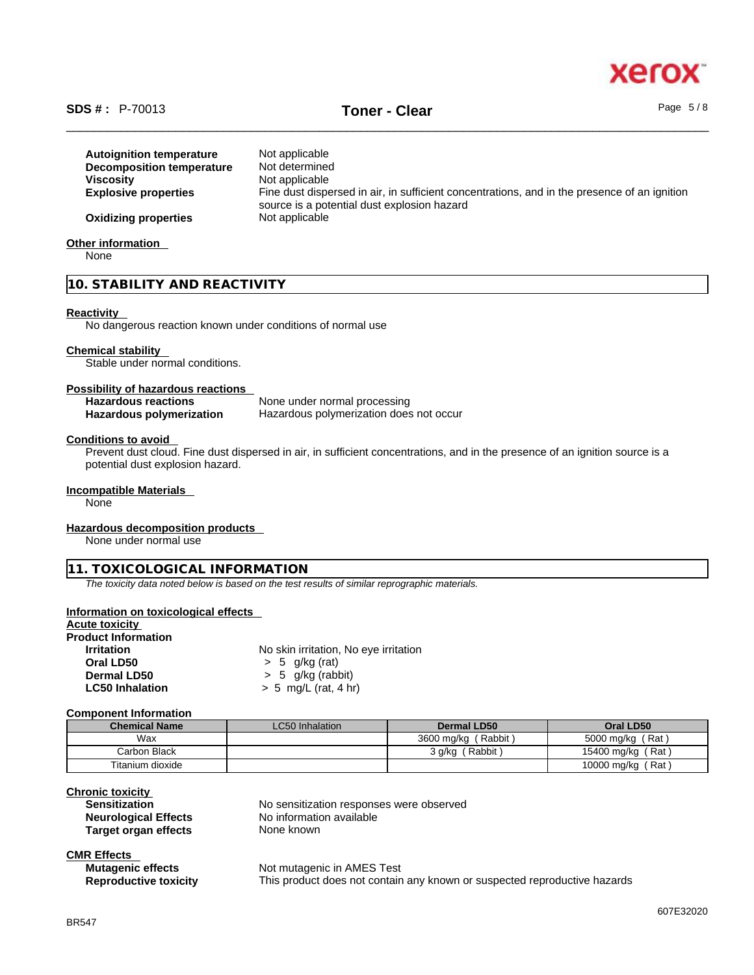

# \_\_\_\_\_\_\_\_\_\_\_\_\_\_\_\_\_\_\_\_\_\_\_\_\_\_\_\_\_\_\_\_\_\_\_\_\_\_\_\_\_\_\_\_\_\_\_\_\_\_\_\_\_\_\_\_\_\_\_\_\_\_\_\_\_\_\_\_\_\_\_\_\_\_\_\_\_\_\_\_\_\_\_\_\_\_\_\_\_\_\_\_\_\_ **SDS # :** P-70013 **Toner - Clear** Page 5 / 8

| <b>Autoignition temperature</b><br>Decomposition temperature | Not applicable<br>Not determined<br>Not applicable                                           |
|--------------------------------------------------------------|----------------------------------------------------------------------------------------------|
| <b>Viscosity</b><br><b>Explosive properties</b>              | Fine dust dispersed in air, in sufficient concentrations, and in the presence of an ignition |
|                                                              | source is a potential dust explosion hazard                                                  |
| <b>Oxidizing properties</b>                                  | Not applicable                                                                               |

**Other information** 

None

**10. STABILITY AND REACTIVITY** 

#### **Reactivity**

No dangerous reaction known under conditions of normal use

#### **Chemical stability**

Stable under normal conditions.

#### **Possibility of hazardous reactions**

| <b>Hazardous reactions</b> | None under normal processing            |
|----------------------------|-----------------------------------------|
| Hazardous polymerization   | Hazardous polymerization does not occur |

#### **Conditions to avoid**

Prevent dust cloud. Fine dust dispersed in air, in sufficient concentrations, and in the presence of an ignition source is a potential dust explosion hazard.

#### **Incompatible Materials**

None

#### **Hazardous decomposition products**

None under normal use

#### **11. TOXICOLOGICAL INFORMATION**

*The toxicity data noted below is based on the test results of similar reprographic materials.* 

#### **Information on toxicological effects**

# **Acute toxicity**

| <b>Product Information</b> |                                       |
|----------------------------|---------------------------------------|
| <b>Irritation</b>          | No skin irritation, No eye irritation |
| Oral LD50                  | $> 5$ g/kg (rat)                      |
| Dermal LD50                | $> 5$ g/kg (rabbit)                   |
| <b>LC50 Inhalation</b>     | $> 5$ mg/L (rat, 4 hr)                |

#### **Component Information**

| <b>Chemical Name</b> | <b>LC50</b> Inhalation | Dermal LD50         | Oral LD50         |
|----------------------|------------------------|---------------------|-------------------|
| Wax                  |                        | 3600 mg/kg (Rabbit) | 5000 mg/kg (Rat)  |
| Carbon Black         |                        | (Rabbit)<br>3 q/kq  | 15400 mg/kg (Rat) |
| Titanium dioxide     |                        |                     | 10000 mg/kg (Rat) |

# **Chronic toxicity**

| <b>Sensitization</b>        | No sensitization responses were observed |
|-----------------------------|------------------------------------------|
| <b>Neurological Effects</b> | No information available                 |
| Target organ effects        | None known                               |

| <b>CMR Effects</b> |  |  |  |
|--------------------|--|--|--|
|                    |  |  |  |

**Mutagenic effects** Not mutagenic in AMES Test **Reproductive toxicity** This product does not contain any known or suspected reproductive hazards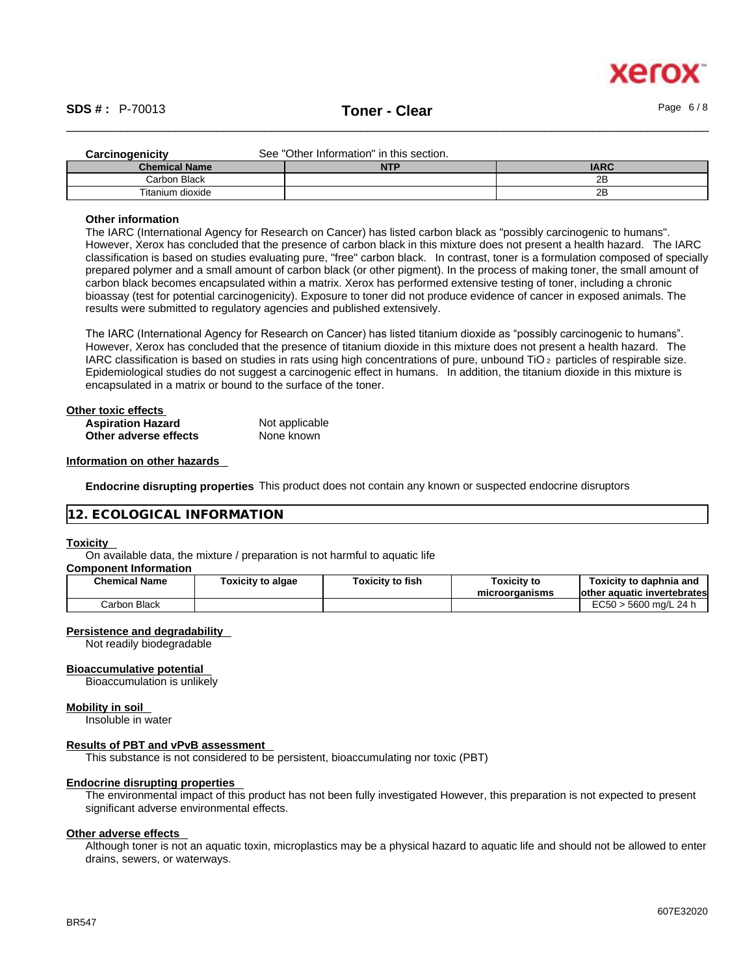

| <b>Carcinogenicity</b> | See "Other Information" in this section. |             |
|------------------------|------------------------------------------|-------------|
| <b>Chemical Name</b>   | <b>NTP</b>                               | <b>IARC</b> |
| Carbon Black           |                                          | 2B          |
| Titanium dioxide       |                                          | 2B          |

#### **Other information**

The IARC (International Agency for Research on Cancer) has listed carbon black as "possibly carcinogenic to humans". However, Xerox has concluded that the presence of carbon black in this mixture does not present a health hazard. The IARC classification is based on studies evaluating pure, "free" carbon black. In contrast, toner is a formulation composed of specially prepared polymer and a small amount of carbon black (or other pigment). In the process of making toner, the small amount of carbon black becomes encapsulated within a matrix. Xerox has performed extensive testing of toner, including a chronic bioassay (test for potential carcinogenicity). Exposure to toner did not produce evidence of cancer in exposed animals. The results were submitted to regulatory agencies and published extensively.

The IARC (International Agency for Research on Cancer) has listed titanium dioxide as "possibly carcinogenic to humans". However, Xerox has concluded that the presence of titanium dioxide in this mixture does not present a health hazard. The IARC classification is based on studies in rats using high concentrations of pure, unbound TiO 2 particles of respirable size. Epidemiological studies do not suggest a carcinogenic effect in humans. In addition, the titanium dioxide in this mixture is encapsulated in a matrix or bound to the surface of the toner.

| Other toxic effects      |                |  |
|--------------------------|----------------|--|
| <b>Aspiration Hazard</b> | Not applicable |  |
| Other adverse effects    | None known     |  |

#### **Information on other hazards**

**Endocrine disrupting properties** This product does not contain any known or suspected endocrine disruptors

#### **12. ECOLOGICAL INFORMATION**

#### **Toxicity**

On available data, the mixture / preparation is not harmful to aquatic life

#### **Component Information**

| <b>Chemical Name</b> | Toxicity to algae | <b>Toxicity to fish</b> | <b>Toxicity to</b><br>microorganisms | Toxicitv to daphnia and<br>lother aquatic invertebrates |
|----------------------|-------------------|-------------------------|--------------------------------------|---------------------------------------------------------|
| Carbon Black         |                   |                         |                                      | EC50 > 5600 mg/L 24 h                                   |

#### **Persistence and degradability**

Not readily biodegradable

#### **Bioaccumulative potential**

Bioaccumulation is unlikely

#### **Mobility in soil**

Insoluble in water

#### **Results of PBT and vPvB assessment**

This substance is not considered to be persistent, bioaccumulating nor toxic (PBT)

#### **Endocrine disrupting properties**

The environmental impact of this product has not been fully investigated However, this preparation is not expected to present significant adverse environmental effects.

#### **Other adverse effects**

Although toner is not an aquatic toxin, microplastics may be a physical hazard to aquatic life and should not be allowed to enter drains, sewers, or waterways.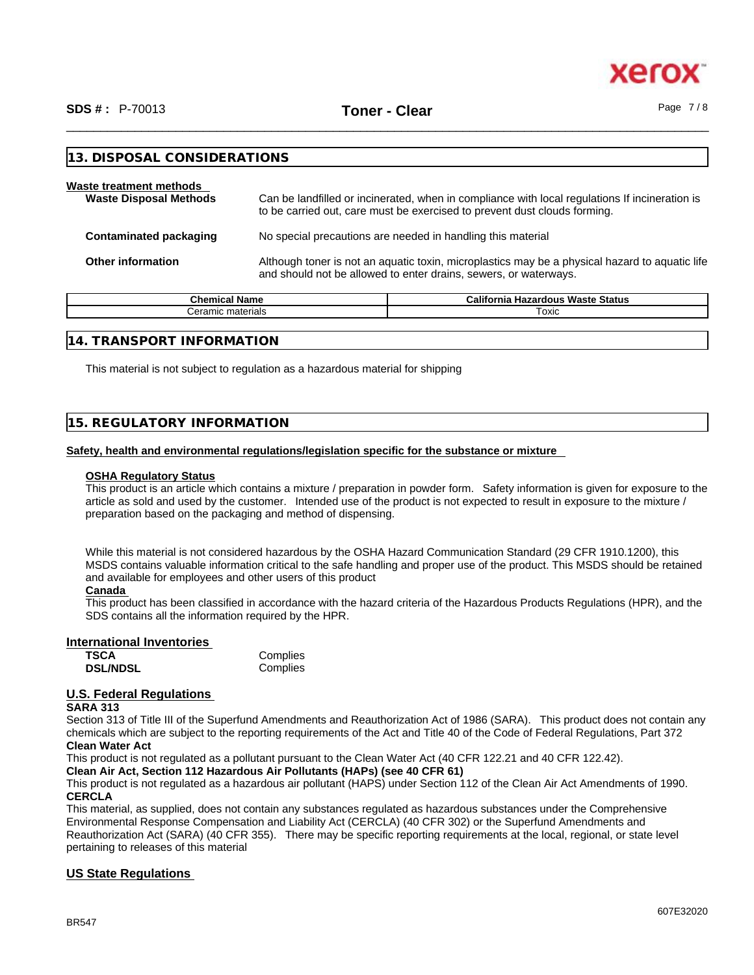

| Waste treatment methods<br><b>Waste Disposal Methods</b> | Can be landfilled or incinerated, when in compliance with local regulations If incineration is<br>to be carried out, care must be exercised to prevent dust clouds forming. |  |
|----------------------------------------------------------|-----------------------------------------------------------------------------------------------------------------------------------------------------------------------------|--|
| <b>Contaminated packaging</b>                            | No special precautions are needed in handling this material                                                                                                                 |  |
| <b>Other information</b>                                 | Although toner is not an aquatic toxin, microplastics may be a physical hazard to aquatic life<br>and should not be allowed to enter drains, sewers, or waterways.          |  |

| <b>Chemical</b><br>' Name          | California<br><b>Waste Status</b><br>Hazardous . |
|------------------------------------|--------------------------------------------------|
| $\cdot$ $\sim$ $\sim$<br>materials | ⊺oxic                                            |
|                                    |                                                  |

### **14. TRANSPORT INFORMATION**

**13. DISPOSAL CONSIDERATIONS** 

This material is not subject to regulation as a hazardous material for shipping

### **15. REGULATORY INFORMATION**

#### **Safety, health and environmental regulations/legislation specific for the substance or mixture**

#### **OSHA Regulatory Status**

This product is an article which contains a mixture / preparation in powder form. Safety information is given for exposure to the article as sold and used by the customer. Intended use of the product is not expected to result in exposure to the mixture / preparation based on the packaging and method of dispensing.

While this material is not considered hazardous by the OSHA Hazard Communication Standard (29 CFR 1910.1200), this MSDS contains valuable information critical to the safe handling and proper use of the product. This MSDS should be retained and available for employees and other users of this product

#### **Canada**

This product has been classified in accordance with the hazard criteria of the Hazardous Products Regulations (HPR), and the SDS contains all the information required by the HPR.

#### **International Inventories**

| TSCA            | Complies |
|-----------------|----------|
| <b>DSL/NDSL</b> | Complies |

#### **U.S. Federal Regulations**

#### **SARA 313**

Section 313 of Title III of the Superfund Amendments and Reauthorization Act of 1986 (SARA). This product does not contain any chemicals which are subject to the reporting requirements of the Act and Title 40 of the Code of Federal Regulations, Part 372 **Clean Water Act**

This product is not regulated as a pollutant pursuant to the Clean Water Act (40 CFR 122.21 and 40 CFR 122.42).

#### **Clean Air Act,Section 112 Hazardous Air Pollutants (HAPs) (see 40 CFR 61)**

This product is not regulated as a hazardous air pollutant (HAPS) under Section 112 of the Clean Air Act Amendments of 1990. **CERCLA**

This material, as supplied, does not contain any substances regulated as hazardous substances under the Comprehensive Environmental Response Compensation and Liability Act (CERCLA) (40 CFR 302) or the Superfund Amendments and Reauthorization Act (SARA) (40 CFR 355). There may be specific reporting requirements at the local, regional, or state level pertaining to releases of this material

#### **US State Regulations**